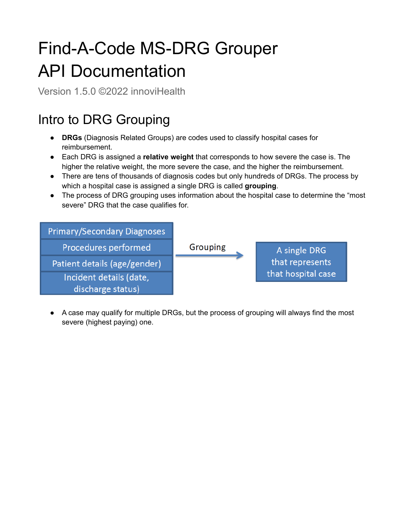# Find-A-Code MS-DRG Grouper API Documentation

Version 1.5.0 ©2022 innoviHealth

# Intro to DRG Grouping

- **DRGs** (Diagnosis Related Groups) are codes used to classify hospital cases for reimbursement.
- Each DRG is assigned a **relative weight** that corresponds to how severe the case is. The higher the relative weight, the more severe the case, and the higher the reimbursement.
- There are tens of thousands of diagnosis codes but only hundreds of DRGs. The process by which a hospital case is assigned a single DRG is called **grouping**.
- The process of DRG grouping uses information about the hospital case to determine the "most severe" DRG that the case qualifies for.

| <b>Primary/Secondary Diagnoses</b> |          |                    |
|------------------------------------|----------|--------------------|
| Procedures performed               | Grouping | A single DRG       |
| Patient details (age/gender)       |          | that represents    |
| Incident details (date,            |          | that hospital case |
| discharge status)                  |          |                    |

● A case may qualify for multiple DRGs, but the process of grouping will always find the most severe (highest paying) one.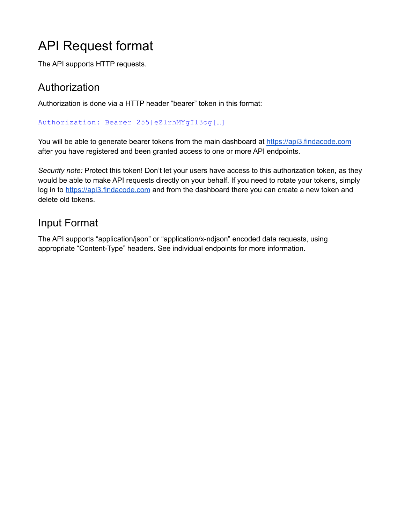# <span id="page-1-0"></span>API Request format

The API supports HTTP requests.

### **Authorization**

Authorization is done via a HTTP header "bearer" token in this format:

Authorization: Bearer 255|eZlrhMYgIl3og[…]

You will be able to generate bearer tokens from the main dashboard at <https://api3.findacode.com> after you have registered and been granted access to one or more API endpoints.

*Security note:* Protect this token! Don't let your users have access to this authorization token, as they would be able to make API requests directly on your behalf. If you need to rotate your tokens, simply log in to <https://api3.findacode.com> and from the dashboard there you can create a new token and delete old tokens.

## Input Format

<span id="page-1-1"></span>The API supports "application/json" or "application/x-ndjson" encoded data requests, using appropriate "Content-Type" headers. See individual endpoints for more information.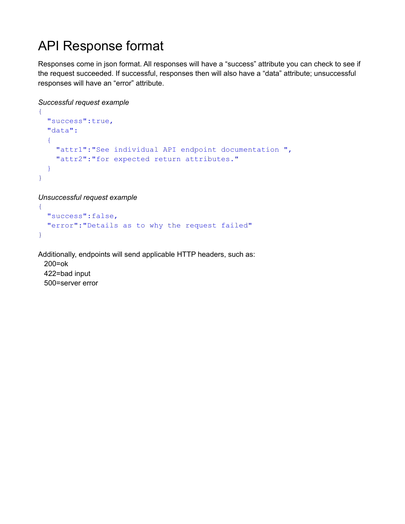# API Response format

Responses come in json format. All responses will have a "success" attribute you can check to see if the request succeeded. If successful, responses then will also have a "data" attribute; unsuccessful responses will have an "error" attribute.

```
Successful request example
```

```
{
  "success":true,
  "data":
  \left\{ \right."attr1":"See individual API endpoint documentation ",
    "attr2":"for expected return attributes."
  }
}
```
*Unsuccessful request example*

```
{
 "success":false,
 "error":"Details as to why the request failed"
}
```
Additionally, endpoints will send applicable HTTP headers, such as:

200=ok 422=bad input 500=server error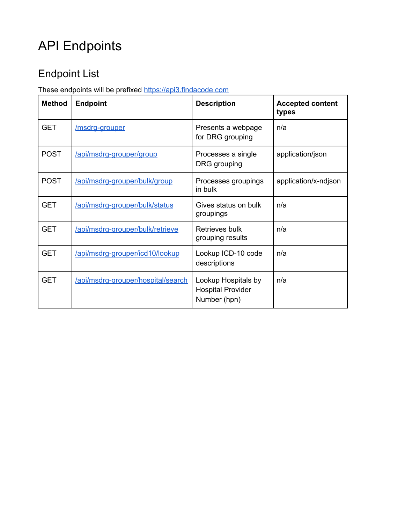# API Endpoints

# Endpoint List

These endpoints will be prefixed <https://api3.findacode.com>

| <b>Method</b> | <b>Endpoint</b>                    | <b>Description</b>                                              | <b>Accepted content</b><br>types |
|---------------|------------------------------------|-----------------------------------------------------------------|----------------------------------|
| <b>GET</b>    | /msdrg-grouper                     | Presents a webpage<br>for DRG grouping                          | n/a                              |
| <b>POST</b>   | /api/msdrg-grouper/group           | Processes a single<br>DRG grouping                              | application/json                 |
| <b>POST</b>   | /api/msdrg-grouper/bulk/group      | Processes groupings<br>in bulk                                  | application/x-ndjson             |
| <b>GET</b>    | /api/msdrg-grouper/bulk/status     | Gives status on bulk<br>groupings                               | n/a                              |
| <b>GET</b>    | /api/msdrg-grouper/bulk/retrieve   | Retrieves bulk<br>grouping results                              | n/a                              |
| <b>GET</b>    | /api/msdrg-grouper/icd10/lookup    | Lookup ICD-10 code<br>descriptions                              | n/a                              |
| <b>GET</b>    | /api/msdrg-grouper/hospital/search | Lookup Hospitals by<br><b>Hospital Provider</b><br>Number (hpn) | n/a                              |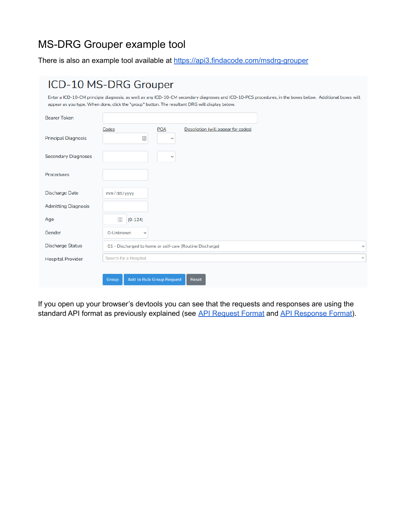## MS-DRG Grouper example tool

There is also an example tool available at <https://api3.findacode.com/msdrg-grouper>

|                            | ICD-10 MS-DRG Grouper                                                                                                                                                                                                                                      |
|----------------------------|------------------------------------------------------------------------------------------------------------------------------------------------------------------------------------------------------------------------------------------------------------|
|                            | Enter a ICD-10-CM principle diagnosis, as well as any ICD-10-CM secondary diagnoses and ICD-10-PCS procedures, in the boxes below. Additional boxes will<br>appear as you type. When done, click the "group" button. The resultant DRG will display below. |
| <b>Bearer Token</b>        |                                                                                                                                                                                                                                                            |
| <b>Principal Diagnosis</b> | Description (will appear for codes)<br><b>POA</b><br>Codes<br>$\triangleq$<br>$\checkmark$                                                                                                                                                                 |
| <b>Secondary Diagnoses</b> | $\checkmark$                                                                                                                                                                                                                                               |
| Procedures                 |                                                                                                                                                                                                                                                            |
| <b>Discharge Date</b>      | mm/dd/yyyy                                                                                                                                                                                                                                                 |
| <b>Admitting Diagnosis</b> |                                                                                                                                                                                                                                                            |
| Age                        | $\hat{\mathcal{C}}$<br>$(0-124)$                                                                                                                                                                                                                           |
| Gender                     | 0-Unknown<br>$\checkmark$                                                                                                                                                                                                                                  |
| <b>Discharge Status</b>    | 01 - Discharged to home or self-care (Routine Discharge)<br>$\checkmark$                                                                                                                                                                                   |
| <b>Hospital Provider</b>   | Search for a Hospital<br>$\overline{\mathbf{v}}$                                                                                                                                                                                                           |
|                            | <b>Add to Bulk Group Request</b><br>Group<br>Reset                                                                                                                                                                                                         |

If you open up your browser's devtools you can see that the requests and responses are using the standard API format as previously explained (see API [Request](#page-1-0) Format and API [Response](#page-1-1) Format).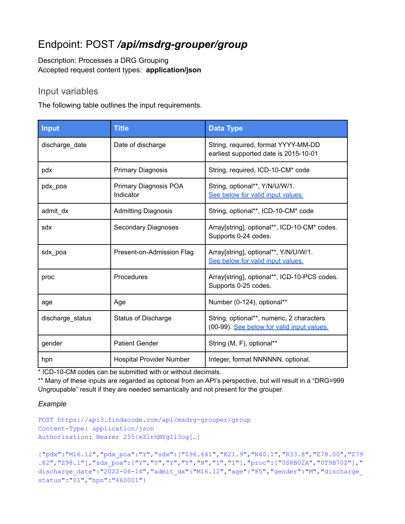## <span id="page-5-0"></span>Endpoint: POST */api/msdrg-grouper/group*

Description: Processes a DRG Grouping Accepted request content types: **application/json**

#### Input variables

The following table outlines the input requirements.

| Input            | <b>Title</b>                       | <b>Data Type</b>                                                                        |
|------------------|------------------------------------|-----------------------------------------------------------------------------------------|
| discharge_date   | Date of discharge                  | String, required, format YYYY-MM-DD<br>earliest supported date is 2015-10-01            |
| pdx              | <b>Primary Diagnosis</b>           | String, required, ICD-10-CM* code                                                       |
| pdx_poa          | Primary Diagnosis POA<br>Indicator | String, optional**, Y/N/U/W/1.<br>See below for valid input values.                     |
| admit_dx         | <b>Admitting Diagnosis</b>         | String, optional**, ICD-10-CM* code                                                     |
| sdx              | Secondary Diagnoses                | Array[string], optional**, ICD-10-CM* codes.<br>Supports 0-24 codes.                    |
| sdx_poa          | Present-on-Admission Flag          | Array[string], optional**, Y/N/U/W/1.<br>See below for valid input values.              |
| proc             | Procedures                         | Array[string], optional**, ICD-10-PCS codes.<br>Supports 0-25 codes.                    |
| age              | Age                                | Number (0-124), optional**                                                              |
| discharge status | <b>Status of Discharge</b>         | String, optional**, numeric, 2 characters<br>(00-99). See below for valid input values. |
| gender           | <b>Patient Gender</b>              | String (M, F), optional**                                                               |
| hpn              | <b>Hospital Provider Number</b>    | Integer, format NNNNNN, optional.                                                       |

\* ICD-10-CM codes can be submitted with or without decimals.

\*\* Many of these inputs are regarded as optional from an API's perspective, but will result in a "DRG=999 Ungroupable" result if they are needed semantically and not present for the grouper.

#### *Example*

```
POST https://api3.findacode.com/api/msdrg-grouper/group
Content-Type: application/json
Authorization: Bearer 255|eZlrhMYgIl3og[…]
```

```
{"pdx":"M16.12","pdx_poa":"Y","sdx":["Z96.641","K21.9","N40.1","R33.8","E78.00","Z79
.82","Z98.1"],"sdx_poa":["Y","Y","Y","Y","N","1","1"],"proc":["0SRB02A","0T9B70Z"],"
discharge date":"2022-06-14","admit dx":"M16.12","age":"85","gender":"M","discharge
status":"01","hpn":"460001"}
```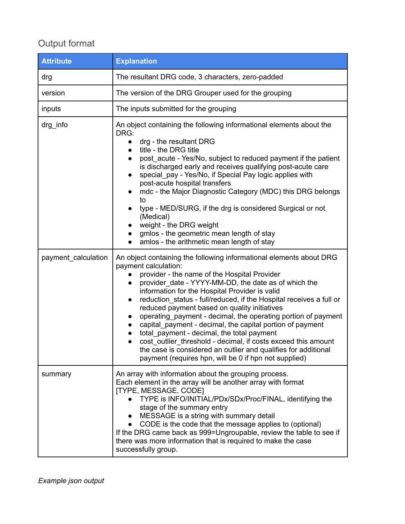## Output format

| <b>Attribute</b>    | <b>Explanation</b>                                                                                                                                                                                                                                                                                                                                                                                                                                                                                                                                                                                                                                                                                                                                                                                                                 |
|---------------------|------------------------------------------------------------------------------------------------------------------------------------------------------------------------------------------------------------------------------------------------------------------------------------------------------------------------------------------------------------------------------------------------------------------------------------------------------------------------------------------------------------------------------------------------------------------------------------------------------------------------------------------------------------------------------------------------------------------------------------------------------------------------------------------------------------------------------------|
| drg                 | The resultant DRG code, 3 characters, zero-padded                                                                                                                                                                                                                                                                                                                                                                                                                                                                                                                                                                                                                                                                                                                                                                                  |
| version             | The version of the DRG Grouper used for the grouping                                                                                                                                                                                                                                                                                                                                                                                                                                                                                                                                                                                                                                                                                                                                                                               |
| inputs              | The inputs submitted for the grouping                                                                                                                                                                                                                                                                                                                                                                                                                                                                                                                                                                                                                                                                                                                                                                                              |
| drg_info            | An object containing the following informational elements about the<br>DRG:<br>drg - the resultant DRG<br>title - the DRG title<br>$\bullet$<br>post_acute - Yes/No, subject to reduced payment if the patient<br>$\bullet$<br>is discharged early and receives qualifying post-acute care<br>special_pay - Yes/No, if Special Pay logic applies with<br>$\bullet$<br>post-acute hospital transfers<br>mdc - the Major Diagnostic Category (MDC) this DRG belongs<br>to<br>type - MED/SURG, if the drg is considered Surgical or not<br>$\bullet$<br>(Medical)<br>weight - the DRG weight<br>$\bullet$<br>gmlos - the geometric mean length of stay<br>$\bullet$<br>amlos - the arithmetic mean length of stay<br>$\bullet$                                                                                                        |
| payment calculation | An object containing the following informational elements about DRG<br>payment calculation:<br>provider - the name of the Hospital Provider<br>provider date - YYYY-MM-DD, the date as of which the<br>$\bullet$<br>information for the Hospital Provider is valid<br>reduction_status - full/reduced, if the Hospital receives a full or<br>$\bullet$<br>reduced payment based on quality initiatives<br>operating payment - decimal, the operating portion of payment<br>$\bullet$<br>capital_payment - decimal, the capital portion of payment<br>$\bullet$<br>total_payment - decimal, the total payment<br>$\bullet$<br>cost outlier threshold - decimal, if costs exceed this amount<br>$\bullet$<br>the case is considered an outlier and qualifies for additional<br>payment (requires hpn, will be 0 if hpn not supplied) |
| summary             | An array with information about the grouping process.<br>Each element in the array will be another array with format<br>[TYPE, MESSAGE, CODE]<br>TYPE is INFO/INITIAL/PDx/SDx/Proc/FINAL, identifying the<br>stage of the summary entry<br>MESSAGE is a string with summary detail<br>CODE is the code that the message applies to (optional)<br>$\bullet$<br>If the DRG came back as 999=Ungroupable, review the table to see if<br>there was more information that is required to make the case<br>successfully group.                                                                                                                                                                                                                                                                                                           |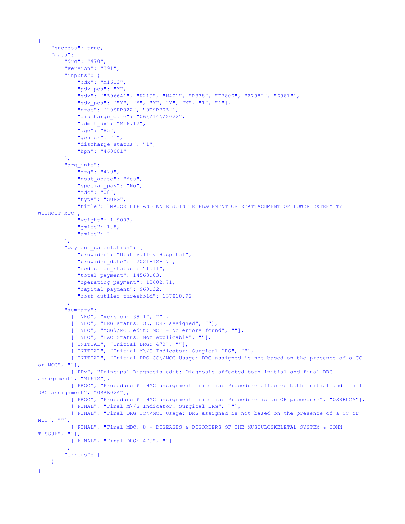```
{
    "success": true,
    "data": {
        "drg": "470",
        "version": "391",
        "inputs": {
            "pdx": "M1612",
            "pdx_poa": "Y",
            "sdx": ["Z96641", "K219", "N401", "R338", "E7800", "Z7982", "Z981"],
            "sdx_poa": ["Y", "Y", "Y", "Y", "N", "1", "1"],
           "proc": ["0SRB02A", "0T9B70Z"],
            "discharge_date": "06\/14\/2022",
            "admit_dx": "M16.12",
            "age": "85",
            "gender": "1",
            "discharge status": "1",
            "hpn": "460001"
        },
        "drg_info": {
            "drg": "470",
            "post acute": "Yes",
            "special_pay": "No",
            "mdc": "08",
            "type": "SURG",
            "title": "MAJOR HIP AND KNEE JOINT REPLACEMENT OR REATTACHMENT OF LOWER EXTREMITY
WITHOUT MCC",
            "weight": 1.9003,
            "gmlos": 1.8,
            "amlos": 2
        },
        "payment calculation": {
            "provider": "Utah Valley Hospital",
            "provider_date": "2021-12-17",
            "reduction_status": "full",
            "total payment": 14563.03,
            "operating_payment": 13602.71,
            "capital payment": 960.32,
            "cost_outlier_threshold": 137818.92
        },
        "summary": [
          ["INFO", "Version: 39.1", ""],
          ["INFO", "DRG status: OK, DRG assigned", ""],
          ["INFO", "MSG\/MCE edit: MCE - No errors found", ""],
          ["INFO", "HAC Status: Not Applicable", ""],
          ["INITIAL", "Initial DRG: 470", ""],
          ["INITIAL", "Initial M\/S Indicator: Surgical DRG", ""],
          ["INITIAL", "Initial DRG CC\/MCC Usage: DRG assigned is not based on the presence of a CC
or MCC", ""],
          ["PDx", "Principal Diagnosis edit: Diagnosis affected both initial and final DRG
assignment", "M1612"],
         ["PROC", "Procedure #1 HAC assignment criteria: Procedure affected both initial and final
DRG assignment", "0SRB02A"],
          ["PROC", "Procedure #1 HAC assignment criteria: Procedure is an OR procedure", "0SRB02A"],
          ["FINAL", "Final M\/S Indicator: Surgical DRG", ""],
          ["FINAL", "Final DRG CC\/MCC Usage: DRG assigned is not based on the presence of a CC or
MCC", ""],
          ["FINAL", "Final MDC: 8 - DISEASES & DISORDERS OF THE MUSCULOSKELETAL SYSTEM & CONN
TISSUE", ""],
         ["FINAL", "Final DRG: 470", ""]
        \mathbf{I},
        "errors": []
    }
}
```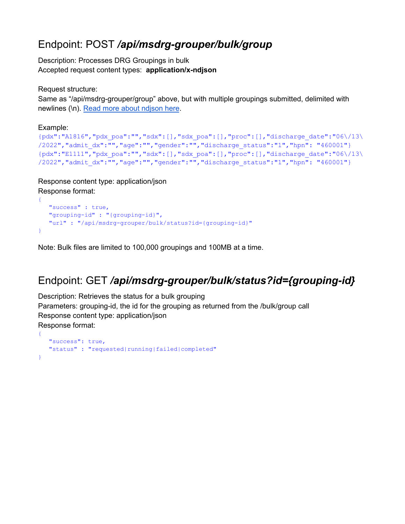## <span id="page-8-0"></span>Endpoint: POST */api/msdrg-grouper/bulk/group*

Description: Processes DRG Groupings in bulk Accepted request content types: **application/x-ndjson**

Request structure:

Same as "/api/msdrg-grouper/group" above, but with multiple groupings submitted, delimited with newlines (\n). Read more about [ndjson](https://github.com/ndjson/ndjson-spec) here.

Example:

{

```
{pdx":"A1816","pdx_poa":"","sdx":[],"sdx_poa":[],"proc":[],"discharge_date":"06\/13\
/2022","admit_dx":"","age":"","gender":"","discharge_status":"1","hpn": "460001"}
{pdx":"E1111","pdx_poa":"","sdx":[],"sdx_poa":[],"proc":[],"discharge_date":"06\/13\
/2022","admit_dx":"","age":"","gender":"","discharge_status":"1","hpn": "460001"}
```
Response content type: application/json Response format:

```
{
  "success" : true,
  "grouping-id" : "{grouping-id}",
  "url" : "/api/msdrg-grouper/bulk/status?id={grouping-id}"
}
```
Note: Bulk files are limited to 100,000 groupings and 100MB at a time.

# <span id="page-8-1"></span>Endpoint: GET */api/msdrg-grouper/bulk/status?id={grouping-id}*

Description: Retrieves the status for a bulk grouping Parameters: grouping-id, the id for the grouping as returned from the /bulk/group call Response content type: application/json Response format:

```
"success": true,
  "status" : "requested|running|failed|completed"
}
```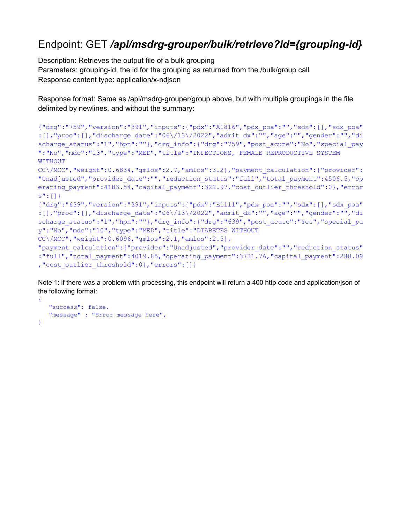### <span id="page-9-0"></span>Endpoint: GET */api/msdrg-grouper/bulk/retrieve?id={grouping-id}*

Description: Retrieves the output file of a bulk grouping Parameters: grouping-id, the id for the grouping as returned from the /bulk/group call Response content type: application/x-ndjson

Response format: Same as /api/msdrg-grouper/group above, but with multiple groupings in the file delimited by newlines, and without the summary:

```
{"drg":"759","version":"391","inputs":{"pdx":"A1816","pdx_poa":"","sdx":[],"sdx_poa"
:[],"proc":[],"discharge_date":"06\/13\/2022","admit_dx":"","age":"","gender":"","di
scharge status":"1","hpn":""},"drg_info":{"drg":"759","post_acute":"No","special_pay
":"No","mdc":"13","type":"MED","title":"INFECTIONS, FEMALE REPRODUCTIVE SYSTEM
WITHOUT
CC\/MCC","weight":0.6834,"gmlos":2.7,"amlos":3.2},"payment_calculation":{"provider":
"Unadjusted","provider_date":"","reduction_status":"full","total_payment":4506.5,"op
erating payment":4183.54, "capital payment":322.97, "cost outlier threshold":0}, "error
s":[]}
{"drg":"639","version":"391","inputs":{"pdx":"E1111","pdx_poa":"","sdx":[],"sdx_poa"
:[],"proc":[],"discharge_date":"06\/13\/2022","admit_dx":"","age":"","gender":"","di
scharge status":"1","hpn":""},"drg_info":{"drg":"639","post_acute":"Yes","special_pa
y":"No","mdc":"10","type":"MED","title":"DIABETES WITHOUT
CC\/MCC","weight":0.6096,"gmlos":2.1,"amlos":2.5},
"payment calculation": {"provider": "Unadjusted", "provider date": "", "reduction status"
:"full","total_payment":4019.85,"operating_payment":3731.76,"capital_payment":288.09
,"cost outlier threshold":0},"errors":[]}
```
Note 1: if there was a problem with processing, this endpoint will return a 400 http code and application/json of the following format:

```
{
   "success": false,
  "message" : "Error message here",
}
```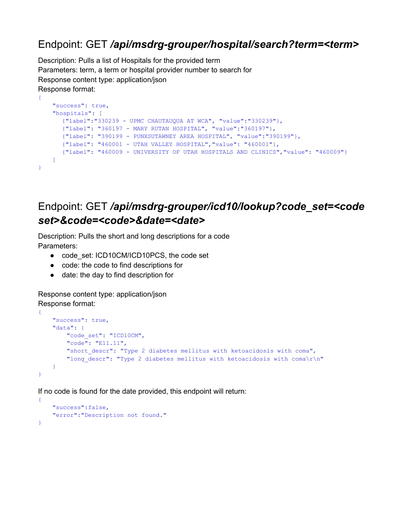### <span id="page-10-1"></span>Endpoint: GET */api/msdrg-grouper/hospital/search?term=<term>*

Description: Pulls a list of Hospitals for the provided term Parameters: term, a term or hospital provider number to search for Response content type: application/json Response format:

```
"success": true,
   "hospitals": [
     {"label":"330239 - UPMC CHAUTAUQUA AT WCA", "value":"330239"},
      {"label": "360197 - MARY RUTAN HOSPITAL", "value":"360197"},
      {"label": "390199 - PUNXSUTAWNEY AREA HOSPITAL", "value":"390199"},
      {"label": "460001 - UTAH VALLEY HOSPITAL","value": "460001"},
      {"label": "460009 - UNIVERSITY OF UTAH HOSPITALS AND CLINICS","value": "460009"}
   ]
}
```
### <span id="page-10-0"></span>Endpoint: GET */api/msdrg-grouper/icd10/lookup?code\_set=<code set>&code=<code>&date=<date>*

Description: Pulls the short and long descriptions for a code Parameters:

- code\_set: ICD10CM/ICD10PCS, the code set
- code: the code to find descriptions for
- date: the day to find description for

Response content type: application/json Response format:

{

```
{
    "success": true,
    "data": {
       "code_set": "ICD10CM",
       "code": "E11.11",
       "short descr": "Type 2 diabetes mellitus with ketoacidosis with coma",
        "long descr": "Type 2 diabetes mellitus with ketoacidosis with coma\r\n"
    }
}
```
If no code is found for the date provided, this endpoint will return:

```
{
    "success":false,
    "error":"Description not found."
}
```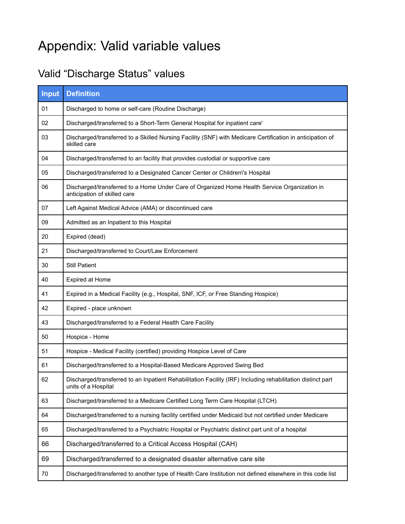# <span id="page-11-0"></span>Appendix: Valid variable values

# Valid "Discharge Status" values

| Input | <b>Definition</b>                                                                                                                  |
|-------|------------------------------------------------------------------------------------------------------------------------------------|
| 01    | Discharged to home or self-care (Routine Discharge)                                                                                |
| 02    | Discharged/transferred to a Short-Term General Hospital for inpatient care'                                                        |
| 03    | Discharged/transferred to a Skilled Nursing Facility (SNF) with Medicare Certification in anticipation of<br>skilled care          |
| 04    | Discharged/transferred to an facility that provides custodial or supportive care                                                   |
| 05    | Discharged/transferred to a Designated Cancer Center or Children\'s Hospital                                                       |
| 06    | Discharged/transferred to a Home Under Care of Organized Home Health Service Organization in<br>anticipation of skilled care       |
| 07    | Left Against Medical Advice (AMA) or discontinued care                                                                             |
| 09    | Admitted as an Inpatient to this Hospital                                                                                          |
| 20    | Expired (dead)                                                                                                                     |
| 21    | Discharged/transferred to Court/Law Enforcement                                                                                    |
| 30    | <b>Still Patient</b>                                                                                                               |
| 40    | Expired at Home                                                                                                                    |
| 41    | Expired in a Medical Facility (e.g., Hospital, SNF, ICF, or Free Standing Hospice)                                                 |
| 42    | Expired - place unknown                                                                                                            |
| 43    | Discharged/transferred to a Federal Health Care Facility                                                                           |
| 50    | Hospice - Home                                                                                                                     |
| 51    | Hospice - Medical Facility (certified) providing Hospice Level of Care                                                             |
| 61    | Discharged/transferred to a Hospital-Based Medicare Approved Swing Bed                                                             |
| 62    | Discharged/transferred to an Inpatient Rehabilitation Facility (IRF) Including rehabilitation distinct part<br>units of a Hospital |
| 63    | Discharged/transferred to a Medicare Certified Long Term Care Hospital (LTCH)                                                      |
| 64    | Discharged/transferred to a nursing facility certified under Medicaid but not certified under Medicare                             |
| 65    | Discharged/transferred to a Psychiatric Hospital or Psychiatric distinct part unit of a hospital                                   |
| 66    | Discharged/transferred to a Critical Access Hospital (CAH)                                                                         |
| 69    | Discharged/transferred to a designated disaster alternative care site                                                              |
| 70    | Discharged/transferred to another type of Health Care Institution not defined elsewhere in this code list                          |